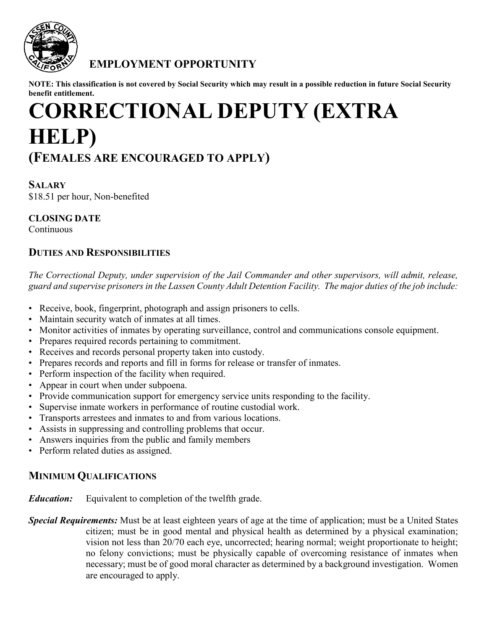

## **EMPLOYMENT OPPORTUNITY**

**NOTE: This classification is not covered by Social Security which may result in a possible reduction in future Social Security benefit entitlement.**

# **CORRECTIONAL DEPUTY (EXTRA HELP) (FEMALES ARE ENCOURAGED TO APPLY)**

### **SALARY** \$18.51 per hour, Non-benefited

**CLOSING DATE**

**Continuous** 

## **DUTIES AND RESPONSIBILITIES**

*The Correctional Deputy, under supervision of the Jail Commander and other supervisors, will admit, release, guard and supervise prisoners in the Lassen County Adult Detention Facility. The major duties of the job include:*

- Receive, book, fingerprint, photograph and assign prisoners to cells.
- Maintain security watch of inmates at all times.
- Monitor activities of inmates by operating surveillance, control and communications console equipment.
- Prepares required records pertaining to commitment.
- Receives and records personal property taken into custody.
- Prepares records and reports and fill in forms for release or transfer of inmates.
- Perform inspection of the facility when required.
- Appear in court when under subpoena.
- Provide communication support for emergency service units responding to the facility.
- Supervise inmate workers in performance of routine custodial work.
- Transports arrestees and inmates to and from various locations.
- Assists in suppressing and controlling problems that occur.
- Answers inquiries from the public and family members
- Perform related duties as assigned.

## **MINIMUM QUALIFICATIONS**

*Education:* Equivalent to completion of the twelfth grade.

*Special Requirements:* Must be at least eighteen years of age at the time of application; must be a United States citizen; must be in good mental and physical health as determined by a physical examination; vision not less than 20/70 each eye, uncorrected; hearing normal; weight proportionate to height; no felony convictions; must be physically capable of overcoming resistance of inmates when necessary; must be of good moral character as determined by a background investigation. Women are encouraged to apply.